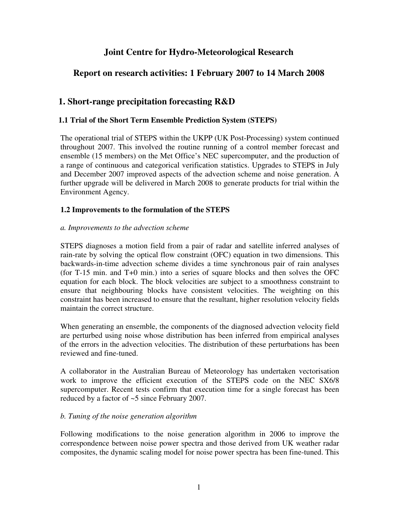# **Joint Centre for Hydro-Meteorological Research**

## **Report on research activities: 1 February 2007 to 14 March 2008**

### **1. Short-range precipitation forecasting R&D**

#### **1.1 Trial of the Short Term Ensemble Prediction System (STEPS)**

The operational trial of STEPS within the UKPP (UK Post-Processing) system continued throughout 2007. This involved the routine running of a control member forecast and ensemble (15 members) on the Met Office's NEC supercomputer, and the production of a range of continuous and categorical verification statistics. Upgrades to STEPS in July and December 2007 improved aspects of the advection scheme and noise generation. A further upgrade will be delivered in March 2008 to generate products for trial within the Environment Agency.

#### **1.2 Improvements to the formulation of the STEPS**

#### *a. Improvements to the advection scheme*

STEPS diagnoses a motion field from a pair of radar and satellite inferred analyses of rain-rate by solving the optical flow constraint (OFC) equation in two dimensions. This backwards-in-time advection scheme divides a time synchronous pair of rain analyses (for T-15 min. and T+0 min.) into a series of square blocks and then solves the OFC equation for each block. The block velocities are subject to a smoothness constraint to ensure that neighbouring blocks have consistent velocities. The weighting on this constraint has been increased to ensure that the resultant, higher resolution velocity fields maintain the correct structure.

When generating an ensemble, the components of the diagnosed advection velocity field are perturbed using noise whose distribution has been inferred from empirical analyses of the errors in the advection velocities. The distribution of these perturbations has been reviewed and fine-tuned.

A collaborator in the Australian Bureau of Meteorology has undertaken vectorisation work to improve the efficient execution of the STEPS code on the NEC SX6/8 supercomputer. Recent tests confirm that execution time for a single forecast has been reduced by a factor of ~5 since February 2007.

#### *b. Tuning of the noise generation algorithm*

Following modifications to the noise generation algorithm in 2006 to improve the correspondence between noise power spectra and those derived from UK weather radar composites, the dynamic scaling model for noise power spectra has been fine-tuned. This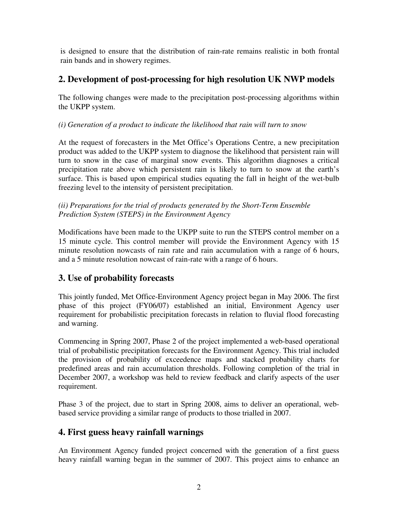is designed to ensure that the distribution of rain-rate remains realistic in both frontal rain bands and in showery regimes.

# **2. Development of post-processing for high resolution UK NWP models**

The following changes were made to the precipitation post-processing algorithms within the UKPP system.

*(i) Generation of a product to indicate the likelihood that rain will turn to snow* 

At the request of forecasters in the Met Office's Operations Centre, a new precipitation product was added to the UKPP system to diagnose the likelihood that persistent rain will turn to snow in the case of marginal snow events. This algorithm diagnoses a critical precipitation rate above which persistent rain is likely to turn to snow at the earth's surface. This is based upon empirical studies equating the fall in height of the wet-bulb freezing level to the intensity of persistent precipitation.

*(ii) Preparations for the trial of products generated by the Short-Term Ensemble Prediction System (STEPS) in the Environment Agency* 

Modifications have been made to the UKPP suite to run the STEPS control member on a 15 minute cycle. This control member will provide the Environment Agency with 15 minute resolution nowcasts of rain rate and rain accumulation with a range of 6 hours, and a 5 minute resolution nowcast of rain-rate with a range of 6 hours.

# **3. Use of probability forecasts**

This jointly funded, Met Office-Environment Agency project began in May 2006. The first phase of this project (FY06/07) established an initial, Environment Agency user requirement for probabilistic precipitation forecasts in relation to fluvial flood forecasting and warning.

Commencing in Spring 2007, Phase 2 of the project implemented a web-based operational trial of probabilistic precipitation forecasts for the Environment Agency. This trial included the provision of probability of exceedence maps and stacked probability charts for predefined areas and rain accumulation thresholds. Following completion of the trial in December 2007, a workshop was held to review feedback and clarify aspects of the user requirement.

Phase 3 of the project, due to start in Spring 2008, aims to deliver an operational, webbased service providing a similar range of products to those trialled in 2007.

# **4. First guess heavy rainfall warnings**

An Environment Agency funded project concerned with the generation of a first guess heavy rainfall warning began in the summer of 2007. This project aims to enhance an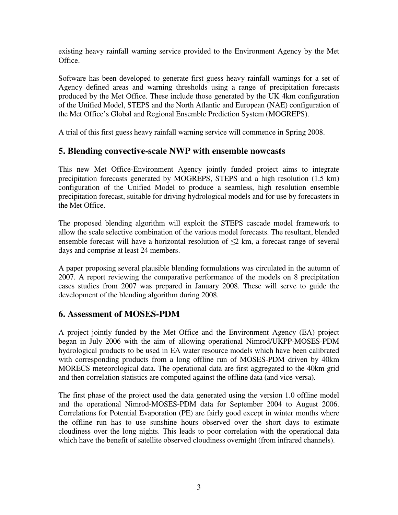existing heavy rainfall warning service provided to the Environment Agency by the Met Office.

Software has been developed to generate first guess heavy rainfall warnings for a set of Agency defined areas and warning thresholds using a range of precipitation forecasts produced by the Met Office. These include those generated by the UK 4km configuration of the Unified Model, STEPS and the North Atlantic and European (NAE) configuration of the Met Office's Global and Regional Ensemble Prediction System (MOGREPS).

A trial of this first guess heavy rainfall warning service will commence in Spring 2008.

### **5. Blending convective-scale NWP with ensemble nowcasts**

This new Met Office-Environment Agency jointly funded project aims to integrate precipitation forecasts generated by MOGREPS, STEPS and a high resolution (1.5 km) configuration of the Unified Model to produce a seamless, high resolution ensemble precipitation forecast, suitable for driving hydrological models and for use by forecasters in the Met Office.

The proposed blending algorithm will exploit the STEPS cascade model framework to allow the scale selective combination of the various model forecasts. The resultant, blended ensemble forecast will have a horizontal resolution of  $\leq$  km, a forecast range of several days and comprise at least 24 members.

A paper proposing several plausible blending formulations was circulated in the autumn of 2007. A report reviewing the comparative performance of the models on 8 precipitation cases studies from 2007 was prepared in January 2008. These will serve to guide the development of the blending algorithm during 2008.

### **6. Assessment of MOSES-PDM**

A project jointly funded by the Met Office and the Environment Agency (EA) project began in July 2006 with the aim of allowing operational Nimrod/UKPP-MOSES-PDM hydrological products to be used in EA water resource models which have been calibrated with corresponding products from a long offline run of MOSES-PDM driven by 40km MORECS meteorological data. The operational data are first aggregated to the 40km grid and then correlation statistics are computed against the offline data (and vice-versa).

The first phase of the project used the data generated using the version 1.0 offline model and the operational Nimrod-MOSES-PDM data for September 2004 to August 2006. Correlations for Potential Evaporation (PE) are fairly good except in winter months where the offline run has to use sunshine hours observed over the short days to estimate cloudiness over the long nights. This leads to poor correlation with the operational data which have the benefit of satellite observed cloudiness overnight (from infrared channels).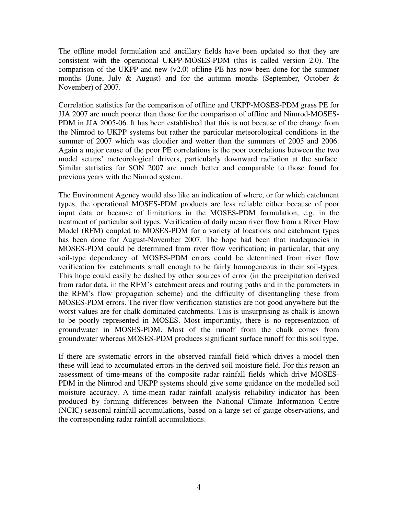The offline model formulation and ancillary fields have been updated so that they are consistent with the operational UKPP-MOSES-PDM (this is called version 2.0). The comparison of the UKPP and new  $(v2.0)$  offline PE has now been done for the summer months (June, July  $\&$  August) and for the autumn months (September, October  $\&$ November) of 2007.

Correlation statistics for the comparison of offline and UKPP-MOSES-PDM grass PE for JJA 2007 are much poorer than those for the comparison of offline and Nimrod-MOSES-PDM in JJA 2005-06. It has been established that this is not because of the change from the Nimrod to UKPP systems but rather the particular meteorological conditions in the summer of 2007 which was cloudier and wetter than the summers of 2005 and 2006. Again a major cause of the poor PE correlations is the poor correlations between the two model setups' meteorological drivers, particularly downward radiation at the surface. Similar statistics for SON 2007 are much better and comparable to those found for previous years with the Nimrod system.

The Environment Agency would also like an indication of where, or for which catchment types, the operational MOSES-PDM products are less reliable either because of poor input data or because of limitations in the MOSES-PDM formulation, e.g. in the treatment of particular soil types. Verification of daily mean river flow from a River Flow Model (RFM) coupled to MOSES-PDM for a variety of locations and catchment types has been done for August-November 2007. The hope had been that inadequacies in MOSES-PDM could be determined from river flow verification; in particular, that any soil-type dependency of MOSES-PDM errors could be determined from river flow verification for catchments small enough to be fairly homogeneous in their soil-types. This hope could easily be dashed by other sources of error (in the precipitation derived from radar data, in the RFM's catchment areas and routing paths and in the parameters in the RFM's flow propagation scheme) and the difficulty of disentangling these from MOSES-PDM errors. The river flow verification statistics are not good anywhere but the worst values are for chalk dominated catchments. This is unsurprising as chalk is known to be poorly represented in MOSES. Most importantly, there is no representation of groundwater in MOSES-PDM. Most of the runoff from the chalk comes from groundwater whereas MOSES-PDM produces significant surface runoff for this soil type.

If there are systematic errors in the observed rainfall field which drives a model then these will lead to accumulated errors in the derived soil moisture field. For this reason an assessment of time-means of the composite radar rainfall fields which drive MOSES-PDM in the Nimrod and UKPP systems should give some guidance on the modelled soil moisture accuracy. A time-mean radar rainfall analysis reliability indicator has been produced by forming differences between the National Climate Information Centre (NCIC) seasonal rainfall accumulations, based on a large set of gauge observations, and the corresponding radar rainfall accumulations.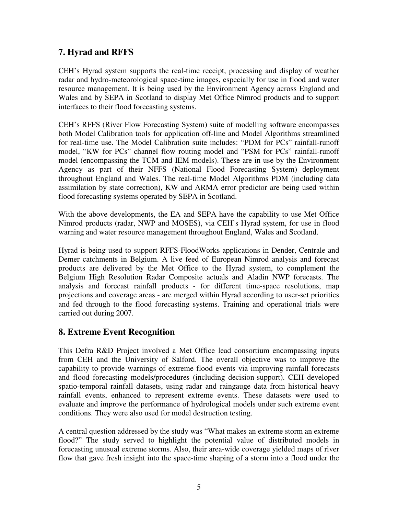### **7. Hyrad and RFFS**

CEH's Hyrad system supports the real-time receipt, processing and display of weather radar and hydro-meteorological space-time images, especially for use in flood and water resource management. It is being used by the Environment Agency across England and Wales and by SEPA in Scotland to display Met Office Nimrod products and to support interfaces to their flood forecasting systems.

CEH's RFFS (River Flow Forecasting System) suite of modelling software encompasses both Model Calibration tools for application off-line and Model Algorithms streamlined for real-time use. The Model Calibration suite includes: "PDM for PCs" rainfall-runoff model, "KW for PCs" channel flow routing model and "PSM for PCs" rainfall-runoff model (encompassing the TCM and IEM models). These are in use by the Environment Agency as part of their NFFS (National Flood Forecasting System) deployment throughout England and Wales. The real-time Model Algorithms PDM (including data assimilation by state correction), KW and ARMA error predictor are being used within flood forecasting systems operated by SEPA in Scotland.

With the above developments, the EA and SEPA have the capability to use Met Office Nimrod products (radar, NWP and MOSES), via CEH's Hyrad system, for use in flood warning and water resource management throughout England, Wales and Scotland.

Hyrad is being used to support RFFS-FloodWorks applications in Dender, Centrale and Demer catchments in Belgium. A live feed of European Nimrod analysis and forecast products are delivered by the Met Office to the Hyrad system, to complement the Belgium High Resolution Radar Composite actuals and Aladin NWP forecasts. The analysis and forecast rainfall products - for different time-space resolutions, map projections and coverage areas - are merged within Hyrad according to user-set priorities and fed through to the flood forecasting systems. Training and operational trials were carried out during 2007.

# **8. Extreme Event Recognition**

This Defra R&D Project involved a Met Office lead consortium encompassing inputs from CEH and the University of Salford. The overall objective was to improve the capability to provide warnings of extreme flood events via improving rainfall forecasts and flood forecasting models/procedures (including decision-support). CEH developed spatio-temporal rainfall datasets, using radar and raingauge data from historical heavy rainfall events, enhanced to represent extreme events. These datasets were used to evaluate and improve the performance of hydrological models under such extreme event conditions. They were also used for model destruction testing.

A central question addressed by the study was "What makes an extreme storm an extreme flood?" The study served to highlight the potential value of distributed models in forecasting unusual extreme storms. Also, their area-wide coverage yielded maps of river flow that gave fresh insight into the space-time shaping of a storm into a flood under the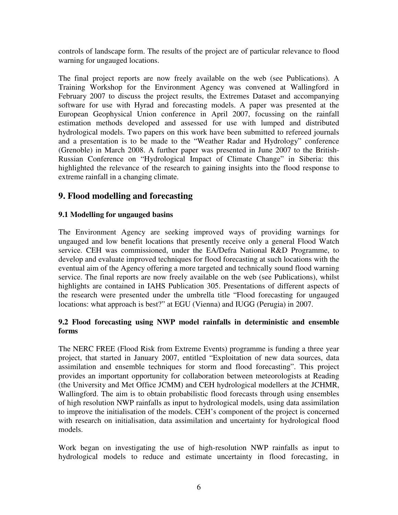controls of landscape form. The results of the project are of particular relevance to flood warning for ungauged locations.

The final project reports are now freely available on the web (see Publications). A Training Workshop for the Environment Agency was convened at Wallingford in February 2007 to discuss the project results, the Extremes Dataset and accompanying software for use with Hyrad and forecasting models. A paper was presented at the European Geophysical Union conference in April 2007, focussing on the rainfall estimation methods developed and assessed for use with lumped and distributed hydrological models. Two papers on this work have been submitted to refereed journals and a presentation is to be made to the "Weather Radar and Hydrology" conference (Grenoble) in March 2008. A further paper was presented in June 2007 to the British-Russian Conference on "Hydrological Impact of Climate Change" in Siberia: this highlighted the relevance of the research to gaining insights into the flood response to extreme rainfall in a changing climate.

### **9. Flood modelling and forecasting**

#### **9.1 Modelling for ungauged basins**

The Environment Agency are seeking improved ways of providing warnings for ungauged and low benefit locations that presently receive only a general Flood Watch service. CEH was commissioned, under the EA/Defra National R&D Programme, to develop and evaluate improved techniques for flood forecasting at such locations with the eventual aim of the Agency offering a more targeted and technically sound flood warning service. The final reports are now freely available on the web (see Publications), whilst highlights are contained in IAHS Publication 305. Presentations of different aspects of the research were presented under the umbrella title "Flood forecasting for ungauged locations: what approach is best?" at EGU (Vienna) and IUGG (Perugia) in 2007.

#### **9.2 Flood forecasting using NWP model rainfalls in deterministic and ensemble forms**

The NERC FREE (Flood Risk from Extreme Events) programme is funding a three year project, that started in January 2007, entitled "Exploitation of new data sources, data assimilation and ensemble techniques for storm and flood forecasting". This project provides an important opportunity for collaboration between meteorologists at Reading (the University and Met Office JCMM) and CEH hydrological modellers at the JCHMR, Wallingford. The aim is to obtain probabilistic flood forecasts through using ensembles of high resolution NWP rainfalls as input to hydrological models, using data assimilation to improve the initialisation of the models. CEH's component of the project is concerned with research on initialisation, data assimilation and uncertainty for hydrological flood models.

Work began on investigating the use of high-resolution NWP rainfalls as input to hydrological models to reduce and estimate uncertainty in flood forecasting, in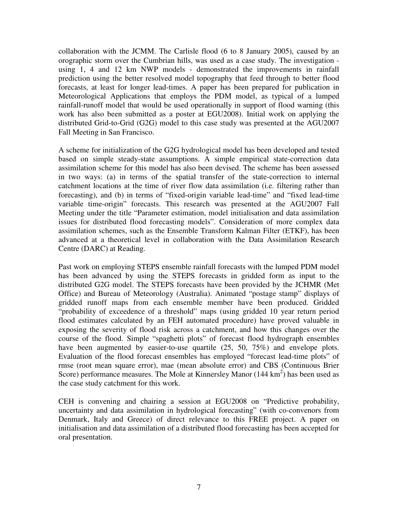collaboration with the JCMM. The Carlisle flood (6 to 8 January 2005), caused by an orographic storm over the Cumbrian hills, was used as a case study. The investigation using 1, 4 and 12 km NWP models - demonstrated the improvements in rainfall prediction using the better resolved model topography that feed through to better flood forecasts, at least for longer lead-times. A paper has been prepared for publication in Meteorological Applications that employs the PDM model, as typical of a lumped rainfall-runoff model that would be used operationally in support of flood warning (this work has also been submitted as a poster at EGU2008). Initial work on applying the distributed Grid-to-Grid (G2G) model to this case study was presented at the AGU2007 Fall Meeting in San Francisco.

A scheme for initialization of the G2G hydrological model has been developed and tested based on simple steady-state assumptions. A simple empirical state-correction data assimilation scheme for this model has also been devised. The scheme has been assessed in two ways: (a) in terms of the spatial transfer of the state-correction to internal catchment locations at the time of river flow data assimilation (i.e. filtering rather than forecasting), and (b) in terms of "fixed-origin variable lead-time" and "fixed lead-time variable time-origin" forecasts. This research was presented at the AGU2007 Fall Meeting under the title "Parameter estimation, model initialisation and data assimilation issues for distributed flood forecasting models". Consideration of more complex data assimilation schemes, such as the Ensemble Transform Kalman Filter (ETKF), has been advanced at a theoretical level in collaboration with the Data Assimilation Research Centre (DARC) at Reading.

Past work on employing STEPS ensemble rainfall forecasts with the lumped PDM model has been advanced by using the STEPS forecasts in gridded form as input to the distributed G2G model. The STEPS forecasts have been provided by the JCHMR (Met Office) and Bureau of Meteorology (Australia). Animated "postage stamp" displays of gridded runoff maps from each ensemble member have been produced. Gridded "probability of exceedence of a threshold" maps (using gridded 10 year return period flood estimates calculated by an FEH automated procedure) have proved valuable in exposing the severity of flood risk across a catchment, and how this changes over the course of the flood. Simple "spaghetti plots" of forecast flood hydrograph ensembles have been augmented by easier-to-use quartile  $(25, 50, 75%)$  and envelope plots. Evaluation of the flood forecast ensembles has employed "forecast lead-time plots" of rmse (root mean square error), mae (mean absolute error) and CBS (Continuous Brier Score) performance measures. The Mole at Kinnersley Manor  $(144 \text{ km}^2)$  has been used as the case study catchment for this work.

CEH is convening and chairing a session at EGU2008 on "Predictive probability, uncertainty and data assimilation in hydrological forecasting" (with co-convenors from Denmark, Italy and Greece) of direct relevance to this FREE project. A paper on initialisation and data assimilation of a distributed flood forecasting has been accepted for oral presentation.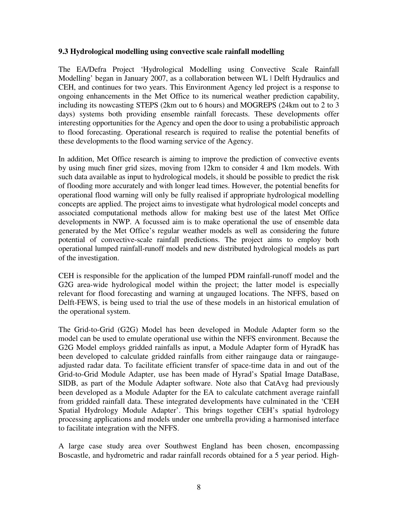#### **9.3 Hydrological modelling using convective scale rainfall modelling**

The EA/Defra Project 'Hydrological Modelling using Convective Scale Rainfall Modelling' began in January 2007, as a collaboration between WL | Delft Hydraulics and CEH, and continues for two years. This Environment Agency led project is a response to ongoing enhancements in the Met Office to its numerical weather prediction capability, including its nowcasting STEPS (2km out to 6 hours) and MOGREPS (24km out to 2 to 3 days) systems both providing ensemble rainfall forecasts. These developments offer interesting opportunities for the Agency and open the door to using a probabilistic approach to flood forecasting. Operational research is required to realise the potential benefits of these developments to the flood warning service of the Agency.

In addition, Met Office research is aiming to improve the prediction of convective events by using much finer grid sizes, moving from 12km to consider 4 and 1km models. With such data available as input to hydrological models, it should be possible to predict the risk of flooding more accurately and with longer lead times. However, the potential benefits for operational flood warning will only be fully realised if appropriate hydrological modelling concepts are applied. The project aims to investigate what hydrological model concepts and associated computational methods allow for making best use of the latest Met Office developments in NWP. A focussed aim is to make operational the use of ensemble data generated by the Met Office's regular weather models as well as considering the future potential of convective-scale rainfall predictions. The project aims to employ both operational lumped rainfall-runoff models and new distributed hydrological models as part of the investigation.

CEH is responsible for the application of the lumped PDM rainfall-runoff model and the G2G area-wide hydrological model within the project; the latter model is especially relevant for flood forecasting and warning at ungauged locations. The NFFS, based on Delft-FEWS, is being used to trial the use of these models in an historical emulation of the operational system.

The Grid-to-Grid (G2G) Model has been developed in Module Adapter form so the model can be used to emulate operational use within the NFFS environment. Because the G2G Model employs gridded rainfalls as input, a Module Adapter form of HyradK has been developed to calculate gridded rainfalls from either raingauge data or raingaugeadjusted radar data. To facilitate efficient transfer of space-time data in and out of the Grid-to-Grid Module Adapter, use has been made of Hyrad's Spatial Image DataBase, SIDB, as part of the Module Adapter software. Note also that CatAvg had previously been developed as a Module Adapter for the EA to calculate catchment average rainfall from gridded rainfall data. These integrated developments have culminated in the 'CEH Spatial Hydrology Module Adapter'. This brings together CEH's spatial hydrology processing applications and models under one umbrella providing a harmonised interface to facilitate integration with the NFFS.

A large case study area over Southwest England has been chosen, encompassing Boscastle, and hydrometric and radar rainfall records obtained for a 5 year period. High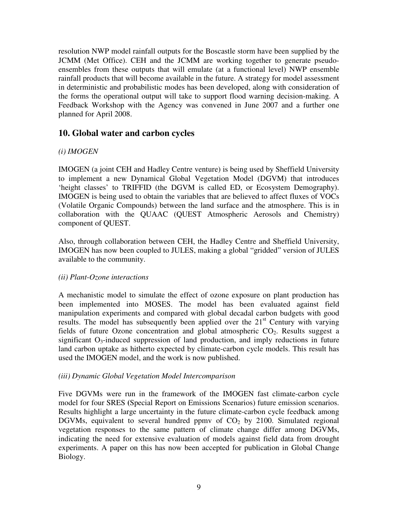resolution NWP model rainfall outputs for the Boscastle storm have been supplied by the JCMM (Met Office). CEH and the JCMM are working together to generate pseudoensembles from these outputs that will emulate (at a functional level) NWP ensemble rainfall products that will become available in the future. A strategy for model assessment in deterministic and probabilistic modes has been developed, along with consideration of the forms the operational output will take to support flood warning decision-making. A Feedback Workshop with the Agency was convened in June 2007 and a further one planned for April 2008.

### **10. Global water and carbon cycles**

#### *(i) IMOGEN*

IMOGEN (a joint CEH and Hadley Centre venture) is being used by Sheffield University to implement a new Dynamical Global Vegetation Model (DGVM) that introduces 'height classes' to TRIFFID (the DGVM is called ED, or Ecosystem Demography). IMOGEN is being used to obtain the variables that are believed to affect fluxes of VOCs (Volatile Organic Compounds) between the land surface and the atmosphere. This is in collaboration with the QUAAC (QUEST Atmospheric Aerosols and Chemistry) component of QUEST.

Also, through collaboration between CEH, the Hadley Centre and Sheffield University, IMOGEN has now been coupled to JULES, making a global "gridded" version of JULES available to the community.

#### *(ii) Plant-Ozone interactions*

A mechanistic model to simulate the effect of ozone exposure on plant production has been implemented into MOSES. The model has been evaluated against field manipulation experiments and compared with global decadal carbon budgets with good results. The model has subsequently been applied over the  $21<sup>st</sup>$  Century with varying fields of future Ozone concentration and global atmospheric  $CO<sub>2</sub>$ . Results suggest a significant  $O_3$ -induced suppression of land production, and imply reductions in future land carbon uptake as hitherto expected by climate-carbon cycle models. This result has used the IMOGEN model, and the work is now published.

#### *(iii) Dynamic Global Vegetation Model Intercomparison*

Five DGVMs were run in the framework of the IMOGEN fast climate-carbon cycle model for four SRES **(**Special Report on Emissions Scenarios) future emission scenarios. Results highlight a large uncertainty in the future climate-carbon cycle feedback among DGVMs, equivalent to several hundred ppmv of  $CO<sub>2</sub>$  by 2100. Simulated regional vegetation responses to the same pattern of climate change differ among DGVMs, indicating the need for extensive evaluation of models against field data from drought experiments. A paper on this has now been accepted for publication in Global Change Biology.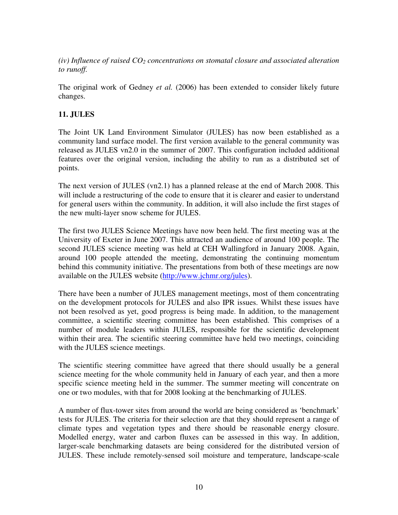*(iv) Influence of raised CO2 concentrations on stomatal closure and associated alteration to runoff.* 

The original work of Gedney *et al.* (2006) has been extended to consider likely future changes.

#### **11. JULES**

The Joint UK Land Environment Simulator (JULES) has now been established as a community land surface model. The first version available to the general community was released as JULES vn2.0 in the summer of 2007. This configuration included additional features over the original version, including the ability to run as a distributed set of points.

The next version of JULES (vn2.1) has a planned release at the end of March 2008. This will include a restructuring of the code to ensure that it is clearer and easier to understand for general users within the community. In addition, it will also include the first stages of the new multi-layer snow scheme for JULES.

The first two JULES Science Meetings have now been held. The first meeting was at the University of Exeter in June 2007. This attracted an audience of around 100 people. The second JULES science meeting was held at CEH Wallingford in January 2008. Again, around 100 people attended the meeting, demonstrating the continuing momentum behind this community initiative. The presentations from both of these meetings are now available on the JULES website (http://www.jchmr.org/jules).

There have been a number of JULES management meetings, most of them concentrating on the development protocols for JULES and also IPR issues. Whilst these issues have not been resolved as yet, good progress is being made. In addition, to the management committee, a scientific steering committee has been established. This comprises of a number of module leaders within JULES, responsible for the scientific development within their area. The scientific steering committee have held two meetings, coinciding with the JULES science meetings.

The scientific steering committee have agreed that there should usually be a general science meeting for the whole community held in January of each year, and then a more specific science meeting held in the summer. The summer meeting will concentrate on one or two modules, with that for 2008 looking at the benchmarking of JULES.

A number of flux-tower sites from around the world are being considered as 'benchmark' tests for JULES. The criteria for their selection are that they should represent a range of climate types and vegetation types and there should be reasonable energy closure. Modelled energy, water and carbon fluxes can be assessed in this way. In addition, larger-scale benchmarking datasets are being considered for the distributed version of JULES. These include remotely-sensed soil moisture and temperature, landscape-scale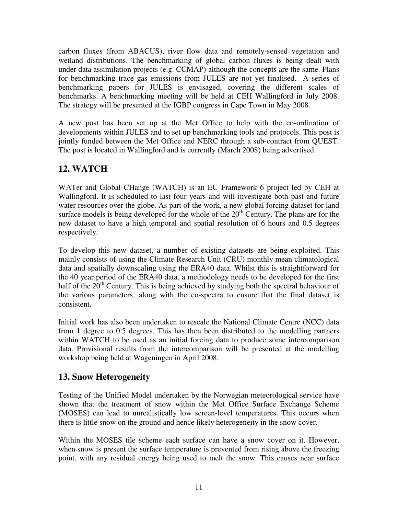carbon fluxes (from ABACUS), river flow data and remotely-sensed vegetation and wetland distributions. The benchmarking of global carbon fluxes is being dealt with under data assimilation projects (e.g. CCMAP) although the concepts are the same. Plans for benchmarking trace gas emissions from JULES are not yet finalised. A series of benchmarking papers for JULES is envisaged, covering the different scales of benchmarks. A benchmarking meeting will be held at CEH Wallingford in July 2008. The strategy will be presented at the IGBP congress in Cape Town in May 2008.

A new post has been set up at the Met Office to help with the co-ordination of developments within JULES and to set up benchmarking tools and protocols. This post is jointly funded between the Met Office and NERC through a sub-contract from QUEST. The post is located in Wallingford and is currently (March 2008) being advertised.

# **12. WATCH**

WATer and Global CHange (WATCH) is an EU Framework 6 project led by CEH at Wallingford. It is scheduled to last four years and will investigate both past and future water resources over the globe. As part of the work, a new global forcing dataset for land surface models is being developed for the whole of the  $20<sup>th</sup>$  Century. The plans are for the new dataset to have a high temporal and spatial resolution of 6 hours and 0.5 degrees respectively.

To develop this new dataset, a number of existing datasets are being exploited. This mainly consists of using the Climate Research Unit (CRU) monthly mean climatological data and spatially downscaling using the ERA40 data. Whilst this is straightforward for the 40 year period of the ERA40 data, a methodology needs to be developed for the first half of the  $20<sup>th</sup>$  Century. This is being achieved by studying both the spectral behaviour of the various parameters, along with the co-spectra to ensure that the final dataset is consistent.

Initial work has also been undertaken to rescale the National Climate Centre (NCC) data from 1 degree to 0.5 degrees. This has then been distributed to the modelling partners within WATCH to be used as an initial forcing data to produce some intercomparison data. Provisional results from the intercomparison will be presented at the modelling workshop being held at Wageningen in April 2008.

# **13. Snow Heterogeneity**

Testing of the Unified Model undertaken by the Norwegian meteorological service have shown that the treatment of snow within the Met Office Surface Exchange Scheme (MOSES) can lead to unrealistically low screen-level temperatures. This occurs when there is little snow on the ground and hence likely heterogeneity in the snow cover.

Within the MOSES tile scheme each surface can have a snow cover on it. However, when snow is present the surface temperature is prevented from rising above the freezing point, with any residual energy being used to melt the snow. This causes near surface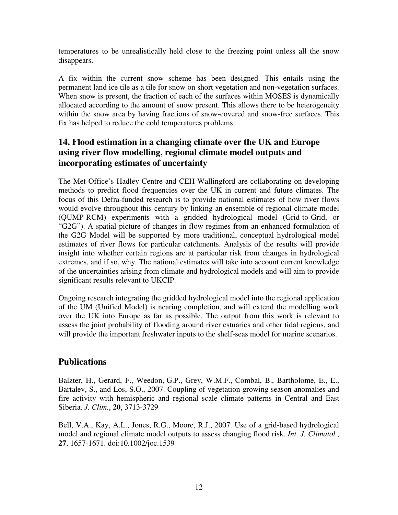temperatures to be unrealistically held close to the freezing point unless all the snow disappears.

A fix within the current snow scheme has been designed. This entails using the permanent land ice tile as a tile for snow on short vegetation and non-vegetation surfaces. When snow is present, the fraction of each of the surfaces within MOSES is dynamically allocated according to the amount of snow present. This allows there to be heterogeneity within the snow area by having fractions of snow-covered and snow-free surfaces. This fix has helped to reduce the cold temperatures problems.

### **14. Flood estimation in a changing climate over the UK and Europe using river flow modelling, regional climate model outputs and incorporating estimates of uncertainty**

The Met Office's Hadley Centre and CEH Wallingford are collaborating on developing methods to predict flood frequencies over the UK in current and future climates. The focus of this Defra-funded research is to provide national estimates of how river flows would evolve throughout this century by linking an ensemble of regional climate model (QUMP-RCM) experiments with a gridded hydrological model (Grid-to-Grid, or "G2G"). A spatial picture of changes in flow regimes from an enhanced formulation of the G2G Model will be supported by more traditional, conceptual hydrological model estimates of river flows for particular catchments. Analysis of the results will provide insight into whether certain regions are at particular risk from changes in hydrological extremes, and if so, why. The national estimates will take into account current knowledge of the uncertainties arising from climate and hydrological models and will aim to provide significant results relevant to UKCIP.

Ongoing research integrating the gridded hydrological model into the regional application of the UM (Unified Model) is nearing completion, and will extend the modelling work over the UK into Europe as far as possible. The output from this work is relevant to assess the joint probability of flooding around river estuaries and other tidal regions, and will provide the important freshwater inputs to the shelf-seas model for marine scenarios.

### **Publications**

Balzter, H., Gerard, F., Weedon, G.P., Grey, W.M.F., Combal, B., Bartholome, E., E., Bartalev, S., and Los, S.O., 2007. Coupling of vegetation growing season anomalies and fire activity with hemispheric and regional scale climate patterns in Central and East Siberia. *J. Clim.*, **20**, 3713-3729

Bell, V.A., Kay, A.L., Jones, R.G., Moore, R.J., 2007. Use of a grid-based hydrological model and regional climate model outputs to assess changing flood risk. *Int. J. Climatol.*, **27**, 1657-1671. doi:10.1002/joc.1539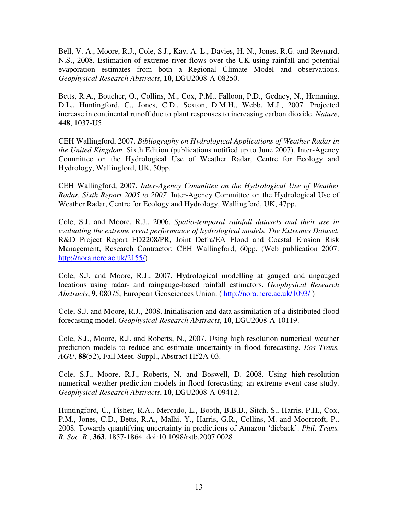Bell, V. A., Moore, R.J., Cole, S.J., Kay, A. L., Davies, H. N., Jones, R.G. and Reynard, N.S., 2008. Estimation of extreme river flows over the UK using rainfall and potential evaporation estimates from both a Regional Climate Model and observations. *Geophysical Research Abstracts*, **10**, EGU2008-A-08250.

Betts, R.A., Boucher, O., Collins, M., Cox, P.M., Falloon, P.D., Gedney, N., Hemming, D.L., Huntingford, C., Jones, C.D., Sexton, D.M.H., Webb, M.J., 2007. Projected increase in continental runoff due to plant responses to increasing carbon dioxide. *Nature*, **448**, 1037-U5

CEH Wallingford, 2007. *Bibliography on Hydrological Applications of Weather Radar in the United Kingdom.* Sixth Edition (publications notified up to June 2007). Inter-Agency Committee on the Hydrological Use of Weather Radar, Centre for Ecology and Hydrology, Wallingford, UK, 50pp.

CEH Wallingford, 2007. *Inter-Agency Committee on the Hydrological Use of Weather Radar. Sixth Report 2005 to 2007.* Inter-Agency Committee on the Hydrological Use of Weather Radar, Centre for Ecology and Hydrology, Wallingford, UK, 47pp.

Cole, S.J. and Moore, R.J., 2006. *Spatio-temporal rainfall datasets and their use in evaluating the extreme event performance of hydrological models. The Extremes Dataset.* R&D Project Report FD2208/PR, Joint Defra/EA Flood and Coastal Erosion Risk Management, Research Contractor: CEH Wallingford, 60pp. (Web publication 2007: http://nora.nerc.ac.uk/2155/)

Cole, S.J. and Moore, R.J., 2007. Hydrological modelling at gauged and ungauged locations using radar- and raingauge-based rainfall estimators. *Geophysical Research Abstracts*, **9**, 08075, European Geosciences Union. ( http://nora.nerc.ac.uk/1093/ )

Cole, S.J. and Moore, R.J., 2008. Initialisation and data assimilation of a distributed flood forecasting model. *Geophysical Research Abstracts*, **10**, EGU2008-A-10119.

Cole, S.J., Moore, R.J. and Roberts, N., 2007. Using high resolution numerical weather prediction models to reduce and estimate uncertainty in flood forecasting. *Eos Trans. AGU*, **88**(52), Fall Meet. Suppl., Abstract H52A-03.

Cole, S.J., Moore, R.J., Roberts, N. and Boswell, D. 2008. Using high-resolution numerical weather prediction models in flood forecasting: an extreme event case study. *Geophysical Research Abstracts*, **10**, EGU2008-A-09412.

Huntingford, C., Fisher, R.A., Mercado, L., Booth, B.B.B., Sitch, S., Harris, P.H., Cox, P.M., Jones, C.D., Betts, R.A., Malhi, Y., Harris, G.R., Collins, M. and Moorcroft, P., 2008. Towards quantifying uncertainty in predictions of Amazon 'dieback'. *Phil. Trans. R. Soc. B*., **363**, 1857-1864. doi:10.1098/rstb.2007.0028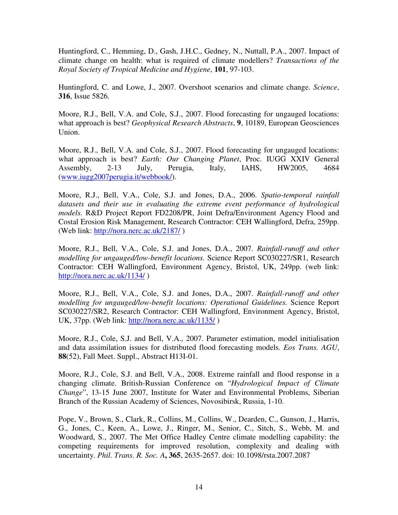Huntingford, C., Hemming, D., Gash, J.H.C., Gedney, N., Nuttall, P.A., 2007. Impact of climate change on health: what is required of climate modellers? *Transactions of the Royal Society of Tropical Medicine and Hygiene*, **101**, 97-103.

Huntingford, C. and Lowe, J., 2007. Overshoot scenarios and climate change. *Science*, **316**, Issue 5826.

Moore, R.J., Bell, V.A. and Cole, S.J., 2007. Flood forecasting for ungauged locations: what approach is best? *Geophysical Research Abstracts*, **9**, 10189, European Geosciences Union.

Moore, R.J., Bell, V.A. and Cole, S.J., 2007. Flood forecasting for ungauged locations: what approach is best? *Earth: Our Changing Planet*, Proc. IUGG XXIV General Assembly, 2-13 July, Perugia, Italy, IAHS, HW2005, 4684 (www.iugg2007perugia.it/webbook/).

Moore, R.J., Bell, V.A., Cole, S.J. and Jones, D.A., 2006. *Spatio-temporal rainfall datasets and their use in evaluating the extreme event performance of hydrological models.* R&D Project Report FD2208/PR, Joint Defra/Environment Agency Flood and Costal Erosion Risk Management, Research Contractor: CEH Wallingford, Defra, 259pp. (Web link: http://nora.nerc.ac.uk/2187/ )

Moore, R.J., Bell, V.A., Cole, S.J. and Jones, D.A., 2007. *Rainfall-runoff and other modelling for ungauged/low-benefit locations.* Science Report SC030227/SR1, Research Contractor: CEH Wallingford, Environment Agency, Bristol, UK, 249pp. (web link: http://nora.nerc.ac.uk/1134/ )

Moore, R.J., Bell, V.A., Cole, S.J. and Jones, D.A., 2007. *Rainfall-runoff and other modelling for ungauged/low-benefit locations: Operational Guidelines.* Science Report SC030227/SR2, Research Contractor: CEH Wallingford, Environment Agency, Bristol, UK, 37pp. (Web link: http://nora.nerc.ac.uk/1135/ )

Moore, R.J., Cole, S.J. and Bell, V.A., 2007. Parameter estimation, model initialisation and data assimilation issues for distributed flood forecasting models. *Eos Trans. AGU*, **88**(52), Fall Meet. Suppl., Abstract H13I-01.

Moore, R.J., Cole, S.J. and Bell, V.A., 2008. Extreme rainfall and flood response in a changing climate. British-Russian Conference on "*Hydrological Impact of Climate Change*", 13-15 June 2007, Institute for Water and Environmental Problems, Siberian Branch of the Russian Academy of Sciences, Novosibirsk, Russia, 1-10.

Pope, V., Brown, S., Clark, R., Collins, M., Collins, W., Dearden, C., Gunson, J., Harris, G., Jones, C., Keen, A., Lowe, J., Ringer, M., Senior, C., Sitch, S., Webb, M. and Woodward, S., 2007. The Met Office Hadley Centre climate modelling capability: the competing requirements for improved resolution, complexity and dealing with uncertainty. *Phil. Trans. R. Soc. A***, 365**, 2635-2657. doi: 10.1098/rsta.2007.2087